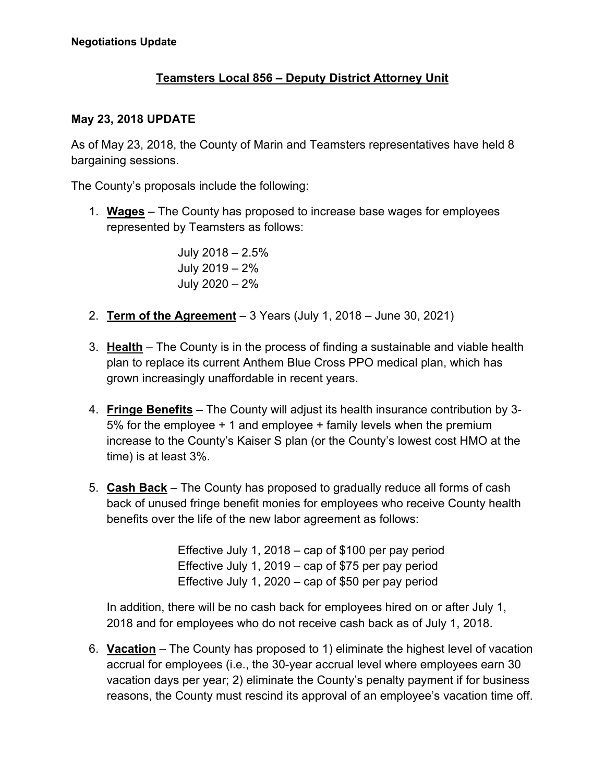## **Teamsters Local 856 – Deputy District Attorney Unit**

## **May 23, 2018 UPDATE**

As of May 23, 2018, the County of Marin and Teamsters representatives have held 8 bargaining sessions.

The County's proposals include the following:

1. **Wages** – The County has proposed to increase base wages for employees represented by Teamsters as follows:

> July 2018 – 2.5% July 2019 – 2% July 2020 – 2%

- 2. **Term of the Agreement** 3 Years (July 1, 2018 June 30, 2021)
- 3. **Health** The County is in the process of finding a sustainable and viable health plan to replace its current Anthem Blue Cross PPO medical plan, which has grown increasingly unaffordable in recent years.
- 4. **Fringe Benefits** The County will adjust its health insurance contribution by 3- 5% for the employee + 1 and employee + family levels when the premium increase to the County's Kaiser S plan (or the County's lowest cost HMO at the time) is at least 3%.
- 5. **Cash Back** The County has proposed to gradually reduce all forms of cash back of unused fringe benefit monies for employees who receive County health benefits over the life of the new labor agreement as follows:

Effective July 1, 2018 – cap of \$100 per pay period Effective July 1, 2019 – cap of \$75 per pay period Effective July 1, 2020 – cap of \$50 per pay period

In addition, there will be no cash back for employees hired on or after July 1, 2018 and for employees who do not receive cash back as of July 1, 2018.

6. **Vacation** – The County has proposed to 1) eliminate the highest level of vacation accrual for employees (i.e., the 30-year accrual level where employees earn 30 vacation days per year; 2) eliminate the County's penalty payment if for business reasons, the County must rescind its approval of an employee's vacation time off.